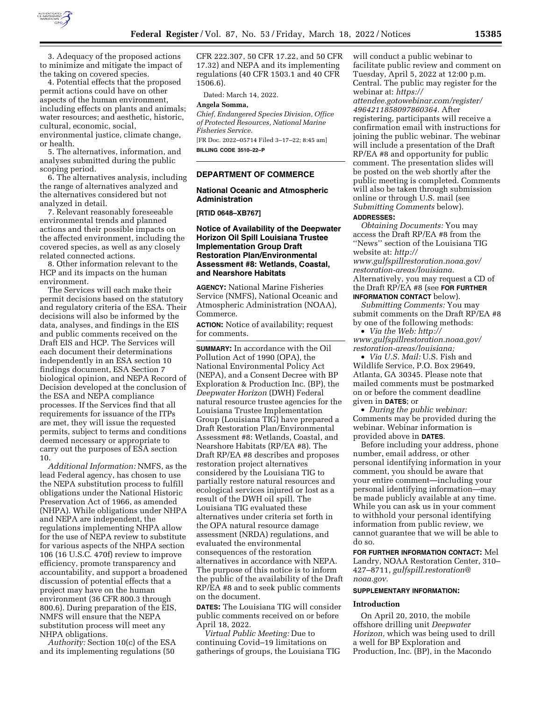

3. Adequacy of the proposed actions to minimize and mitigate the impact of the taking on covered species.

4. Potential effects that the proposed permit actions could have on other aspects of the human environment, including effects on plants and animals; water resources; and aesthetic, historic, cultural, economic, social, environmental justice, climate change, or health.

5. The alternatives, information, and analyses submitted during the public scoping period.

6. The alternatives analysis, including the range of alternatives analyzed and the alternatives considered but not analyzed in detail.

7. Relevant reasonably foreseeable environmental trends and planned actions and their possible impacts on the affected environment, including the covered species, as well as any closely related connected actions.

8. Other information relevant to the HCP and its impacts on the human environment.

The Services will each make their permit decisions based on the statutory and regulatory criteria of the ESA. Their decisions will also be informed by the data, analyses, and findings in the EIS and public comments received on the Draft EIS and HCP. The Services will each document their determinations independently in an ESA section 10 findings document, ESA Section 7 biological opinion, and NEPA Record of Decision developed at the conclusion of the ESA and NEPA compliance processes. If the Services find that all requirements for issuance of the ITPs are met, they will issue the requested permits, subject to terms and conditions deemed necessary or appropriate to carry out the purposes of ESA section 10.

*Additional Information:* NMFS, as the lead Federal agency, has chosen to use the NEPA substitution process to fulfill obligations under the National Historic Preservation Act of 1966, as amended (NHPA). While obligations under NHPA and NEPA are independent, the regulations implementing NHPA allow for the use of NEPA review to substitute for various aspects of the NHPA section 106 (16 U.S.C. 470f) review to improve efficiency, promote transparency and accountability, and support a broadened discussion of potential effects that a project may have on the human environment (36 CFR 800.3 through 800.6). During preparation of the EIS, NMFS will ensure that the NEPA substitution process will meet any NHPA obligations.

*Authority:* Section 10(c) of the ESA and its implementing regulations (50

CFR 222.307, 50 CFR 17.22, and 50 CFR 17.32) and NEPA and its implementing regulations (40 CFR 1503.1 and 40 CFR 1506.6).

Dated: March 14, 2022.

#### **Angela Somma,**

*Chief, Endangered Species Division, Office of Protected Resources, National Marine Fisheries Service.* 

[FR Doc. 2022–05714 Filed 3–17–22; 8:45 am] **BILLING CODE 3510–22–P** 

#### **DEPARTMENT OF COMMERCE**

# **National Oceanic and Atmospheric Administration**

**[RTID 0648–XB767]** 

# **Notice of Availability of the Deepwater Horizon Oil Spill Louisiana Trustee Implementation Group Draft Restoration Plan/Environmental Assessment #8: Wetlands, Coastal, and Nearshore Habitats**

**AGENCY:** National Marine Fisheries Service (NMFS), National Oceanic and Atmospheric Administration (NOAA), Commerce.

**ACTION:** Notice of availability; request for comments.

**SUMMARY:** In accordance with the Oil Pollution Act of 1990 (OPA), the National Environmental Policy Act (NEPA), and a Consent Decree with BP Exploration & Production Inc. (BP), the *Deepwater Horizon* (DWH) Federal natural resource trustee agencies for the Louisiana Trustee Implementation Group (Louisiana TIG) have prepared a Draft Restoration Plan/Environmental Assessment #8: Wetlands, Coastal, and Nearshore Habitats (RP/EA #8). The Draft RP/EA #8 describes and proposes restoration project alternatives considered by the Louisiana TIG to partially restore natural resources and ecological services injured or lost as a result of the DWH oil spill. The Louisiana TIG evaluated these alternatives under criteria set forth in the OPA natural resource damage assessment (NRDA) regulations, and evaluated the environmental consequences of the restoration alternatives in accordance with NEPA. The purpose of this notice is to inform the public of the availability of the Draft RP/EA #8 and to seek public comments on the document.

**DATES:** The Louisiana TIG will consider public comments received on or before April 18, 2022.

*Virtual Public Meeting:* Due to continuing Covid–19 limitations on gatherings of groups, the Louisiana TIG will conduct a public webinar to facilitate public review and comment on Tuesday, April 5, 2022 at 12:00 p.m. Central. The public may register for the webinar at: *[https://](https://attendee.gotowebinar.com/register/4964211858097860364)*

*[attendee.gotowebinar.com/register/](https://attendee.gotowebinar.com/register/4964211858097860364) [4964211858097860364.](https://attendee.gotowebinar.com/register/4964211858097860364)* After registering, participants will receive a confirmation email with instructions for joining the public webinar. The webinar will include a presentation of the Draft RP/EA #8 and opportunity for public comment. The presentation slides will be posted on the web shortly after the public meeting is completed. Comments will also be taken through submission online or through U.S. mail (see *Submitting Comments* below).

# **ADDRESSES:**

*Obtaining Documents:* You may access the Draft RP/EA #8 from the ''News'' section of the Louisiana TIG website at: *[http://](http://www.gulfspillrestoration.noaa.gov/restoration-areas/louisiana) [www.gulfspillrestoration.noaa.gov/](http://www.gulfspillrestoration.noaa.gov/restoration-areas/louisiana)  [restoration-areas/louisiana.](http://www.gulfspillrestoration.noaa.gov/restoration-areas/louisiana)*  Alternatively, you may request a CD of the Draft RP/EA #8 (see **FOR FURTHER INFORMATION CONTACT** below).

*Submitting Comments:* You may submit comments on the Draft RP/EA #8 by one of the following methods:

• *Via the Web: [http://](http://www.gulfspillrestoration.noaa.gov/restoration-areas/louisiana) [www.gulfspillrestoration.noaa.gov/](http://www.gulfspillrestoration.noaa.gov/restoration-areas/louisiana)  [restoration-areas/louisiana;](http://www.gulfspillrestoration.noaa.gov/restoration-areas/louisiana)* 

• *Via U.S. Mail:* U.S. Fish and Wildlife Service, P.O. Box 29649, Atlanta, GA 30345. Please note that mailed comments must be postmarked on or before the comment deadline given in **DATES**; or

• *During the public webinar:*  Comments may be provided during the webinar. Webinar information is provided above in **DATES**.

Before including your address, phone number, email address, or other personal identifying information in your comment, you should be aware that your entire comment—including your personal identifying information—may be made publicly available at any time. While you can ask us in your comment to withhold your personal identifying information from public review, we cannot guarantee that we will be able to do so.

**FOR FURTHER INFORMATION CONTACT:** Mel Landry, NOAA Restoration Center, 310– 427–8711, *[gulfspill.restoration@](mailto:gulfspill.restoration@noaa.gov) [noaa.gov.](mailto:gulfspill.restoration@noaa.gov)* 

# **SUPPLEMENTARY INFORMATION:**

#### **Introduction**

On April 20, 2010, the mobile offshore drilling unit *Deepwater Horizon,* which was being used to drill a well for BP Exploration and Production, Inc. (BP), in the Macondo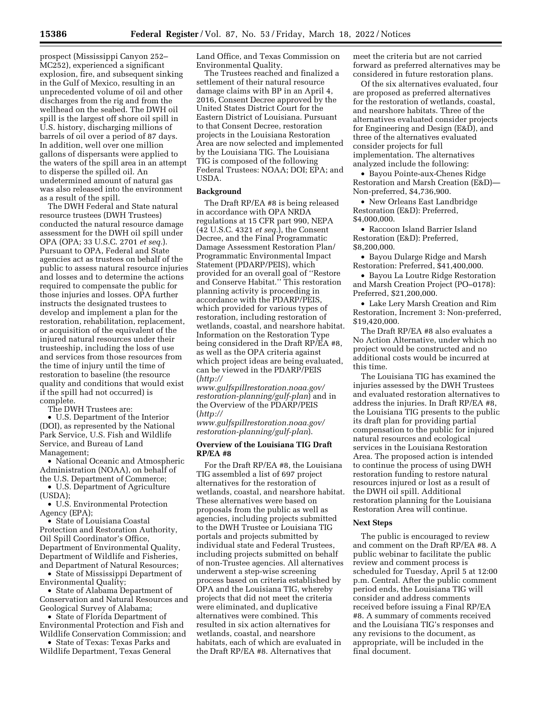prospect (Mississippi Canyon 252– MC252), experienced a significant explosion, fire, and subsequent sinking in the Gulf of Mexico, resulting in an unprecedented volume of oil and other discharges from the rig and from the wellhead on the seabed. The DWH oil spill is the largest off shore oil spill in U.S. history, discharging millions of barrels of oil over a period of 87 days. In addition, well over one million gallons of dispersants were applied to the waters of the spill area in an attempt to disperse the spilled oil. An undetermined amount of natural gas was also released into the environment as a result of the spill.

The DWH Federal and State natural resource trustees (DWH Trustees) conducted the natural resource damage assessment for the DWH oil spill under OPA (OPA; 33 U.S.C. 2701 *et seq.*). Pursuant to OPA, Federal and State agencies act as trustees on behalf of the public to assess natural resource injuries and losses and to determine the actions required to compensate the public for those injuries and losses. OPA further instructs the designated trustees to develop and implement a plan for the restoration, rehabilitation, replacement, or acquisition of the equivalent of the injured natural resources under their trusteeship, including the loss of use and services from those resources from the time of injury until the time of restoration to baseline (the resource quality and conditions that would exist if the spill had not occurred) is complete.

The DWH Trustees are:

• U.S. Department of the Interior (DOI), as represented by the National Park Service, U.S. Fish and Wildlife Service, and Bureau of Land Management;

• National Oceanic and Atmospheric Administration (NOAA), on behalf of the U.S. Department of Commerce;

• U.S. Department of Agriculture (USDA);

• U.S. Environmental Protection Agency (EPA);

• State of Louisiana Coastal Protection and Restoration Authority, Oil Spill Coordinator's Office, Department of Environmental Quality, Department of Wildlife and Fisheries, and Department of Natural Resources;

• State of Mississippi Department of Environmental Quality;

• State of Alabama Department of Conservation and Natural Resources and Geological Survey of Alabama;

• State of Florida Department of Environmental Protection and Fish and Wildlife Conservation Commission; and

• State of Texas: Texas Parks and Wildlife Department, Texas General Land Office, and Texas Commission on Environmental Quality.

The Trustees reached and finalized a settlement of their natural resource damage claims with BP in an April 4, 2016, Consent Decree approved by the United States District Court for the Eastern District of Louisiana. Pursuant to that Consent Decree, restoration projects in the Louisiana Restoration Area are now selected and implemented by the Louisiana TIG. The Louisiana TIG is composed of the following Federal Trustees: NOAA; DOI; EPA; and USDA.

# **Background**

The Draft RP/EA #8 is being released in accordance with OPA NRDA regulations at 15 CFR part 990, NEPA (42 U.S.C. 4321 *et seq.*), the Consent Decree, and the Final Programmatic Damage Assessment Restoration Plan/ Programmatic Environmental Impact Statement (PDARP/PEIS), which provided for an overall goal of ''Restore and Conserve Habitat.'' This restoration planning activity is proceeding in accordance with the PDARP/PEIS, which provided for various types of restoration, including restoration of wetlands, coastal, and nearshore habitat. Information on the Restoration Type being considered in the Draft RP/EA #8, as well as the OPA criteria against which project ideas are being evaluated, can be viewed in the PDARP/PEIS (*[http://](http://www.gulfspillrestoration.noaa.gov/restoration-planning/gulf-plan)*

*[www.gulfspillrestoration.noaa.gov/](http://www.gulfspillrestoration.noaa.gov/restoration-planning/gulf-plan)  [restoration-planning/gulf-plan](http://www.gulfspillrestoration.noaa.gov/restoration-planning/gulf-plan)*) and in the Overview of the PDARP/PEIS (*[http://](http://www.gulfspillrestoration.noaa.gov/restoration-planning/gulf-plan)*

*[www.gulfspillrestoration.noaa.gov/](http://www.gulfspillrestoration.noaa.gov/restoration-planning/gulf-plan)  [restoration-planning/gulf-plan](http://www.gulfspillrestoration.noaa.gov/restoration-planning/gulf-plan)*).

# **Overview of the Louisiana TIG Draft RP/EA #8**

For the Draft RP/EA #8, the Louisiana TIG assembled a list of 697 project alternatives for the restoration of wetlands, coastal, and nearshore habitat. These alternatives were based on proposals from the public as well as agencies, including projects submitted to the DWH Trustee or Louisiana TIG portals and projects submitted by individual state and Federal Trustees, including projects submitted on behalf of non-Trustee agencies. All alternatives underwent a step-wise screening process based on criteria established by OPA and the Louisiana TIG, whereby projects that did not meet the criteria were eliminated, and duplicative alternatives were combined. This resulted in six action alternatives for wetlands, coastal, and nearshore habitats, each of which are evaluated in the Draft RP/EA #8. Alternatives that

meet the criteria but are not carried forward as preferred alternatives may be considered in future restoration plans.

Of the six alternatives evaluated, four are proposed as preferred alternatives for the restoration of wetlands, coastal, and nearshore habitats. Three of the alternatives evaluated consider projects for Engineering and Design (E&D), and three of the alternatives evaluated consider projects for full implementation. The alternatives analyzed include the following:

• Bayou Pointe-aux-Chenes Ridge Restoration and Marsh Creation (E&D)— Non-preferred, \$4,736,900.

• New Orleans East Landbridge Restoration (E&D): Preferred, \$4,000,000.

• Raccoon Island Barrier Island Restoration (E&D): Preferred, \$8,200,000.

• Bayou Dularge Ridge and Marsh Restoration: Preferred, \$41,400,000.

• Bayou La Loutre Ridge Restoration and Marsh Creation Project (PO–0178): Preferred, \$21,200,000.

• Lake Lery Marsh Creation and Rim Restoration, Increment 3: Non-preferred, \$19,420,000.

The Draft RP/EA #8 also evaluates a No Action Alternative, under which no project would be constructed and no additional costs would be incurred at this time.

The Louisiana TIG has examined the injuries assessed by the DWH Trustees and evaluated restoration alternatives to address the injuries. In Draft RP/EA #8, the Louisiana TIG presents to the public its draft plan for providing partial compensation to the public for injured natural resources and ecological services in the Louisiana Restoration Area. The proposed action is intended to continue the process of using DWH restoration funding to restore natural resources injured or lost as a result of the DWH oil spill. Additional restoration planning for the Louisiana Restoration Area will continue.

### **Next Steps**

The public is encouraged to review and comment on the Draft RP/EA #8. A public webinar to facilitate the public review and comment process is scheduled for Tuesday, April 5 at 12:00 p.m. Central. After the public comment period ends, the Louisiana TIG will consider and address comments received before issuing a Final RP/EA #8. A summary of comments received and the Louisiana TIG's responses and any revisions to the document, as appropriate, will be included in the final document.